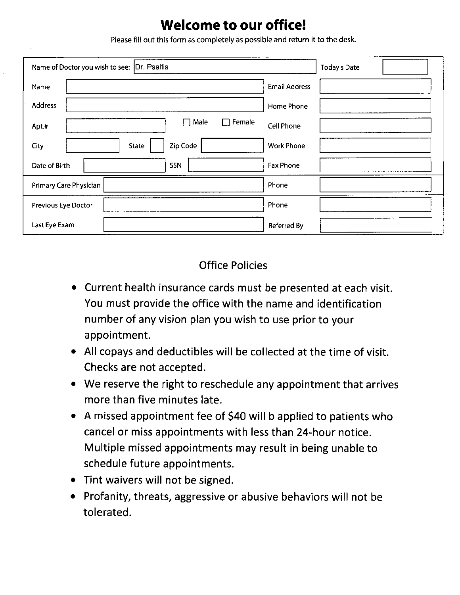# **Welcome to our office!**

Please fill out this form as completely as possible and return it to the desk.

| Name of Doctor you wish to see:  Dr. Psaltis<br><b>Today's Date</b> |                      |  |  |
|---------------------------------------------------------------------|----------------------|--|--|
| Name                                                                | <b>Email Address</b> |  |  |
| <b>Address</b>                                                      | Home Phone           |  |  |
| $\Box$ Male<br>Female<br>$\Box$<br>Apt.#                            | <b>Cell Phone</b>    |  |  |
| Zip Code<br>State<br>City                                           | <b>Work Phone</b>    |  |  |
| <b>SSN</b><br>Date of Birth                                         | <b>Fax Phone</b>     |  |  |
| Primary Care Physician                                              | Phone                |  |  |
| Previous Eye Doctor                                                 | Phone                |  |  |
| Last Eye Exam                                                       | Referred By          |  |  |

## **Office Policies**

- Current health insurance cards must be presented at each visit. You must provide the office with the name and identification number of any vision plan you wish to use prior to your appointment.
- All copays and deductibles will be collected at the time of visit. Checks are not accepted.
- We reserve the right to reschedule any appointment that arrives more than five minutes late.
- A missed appointment fee of \$40 will b applied to patients who cancel or miss appointments with less than 24-hour notice. Multiple missed appointments may result in being unable to schedule future appointments.
- Tint waivers will not be signed.
- Profanity, threats, aggressive or abusive behaviors will not be tolerated.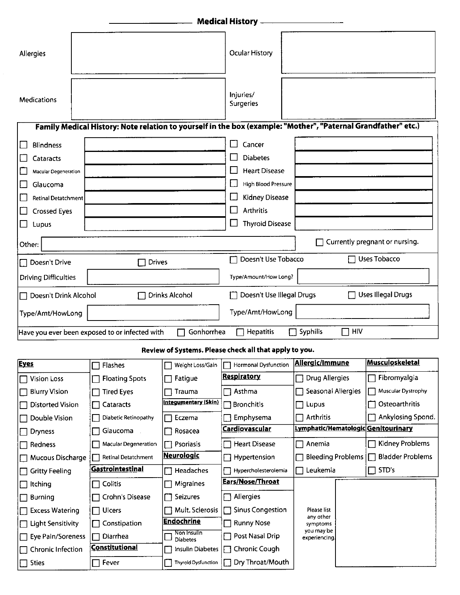| <b>Medical History -</b>                                                                                      |                         |                                |                                    |                                     |                                         |  |
|---------------------------------------------------------------------------------------------------------------|-------------------------|--------------------------------|------------------------------------|-------------------------------------|-----------------------------------------|--|
| Allergies                                                                                                     |                         |                                | <b>Ocular History</b>              |                                     |                                         |  |
| <b>Medications</b>                                                                                            |                         |                                | Injuries/<br>Surgeries             |                                     |                                         |  |
| Family Medical History: Note relation to yourself in the box (example: "Mother", "Paternal Grandfather" etc.) |                         |                                |                                    |                                     |                                         |  |
| <b>Blindness</b>                                                                                              |                         |                                | $\Box$<br>Cancer                   |                                     |                                         |  |
| Cataracts                                                                                                     |                         |                                | <b>Diabetes</b>                    |                                     |                                         |  |
| Macular Degeneration                                                                                          |                         |                                | <b>Heart Disease</b><br>L          |                                     |                                         |  |
| Glaucoma                                                                                                      |                         |                                | High Blood Pressure                |                                     |                                         |  |
| Retinal Detatchment                                                                                           |                         |                                | <b>Kidney Disease</b><br>L.,       |                                     |                                         |  |
| <b>Crossed Eyes</b>                                                                                           |                         |                                | <b>Arthritis</b><br>i.             |                                     |                                         |  |
| $\mathcal{L}$<br>Lupus                                                                                        |                         |                                | <b>Thyroid Disease</b><br>$\sqcup$ |                                     |                                         |  |
| Currently pregnant or nursing.<br>Other:                                                                      |                         |                                |                                    |                                     |                                         |  |
| Doesn't Drive<br>П                                                                                            | <b>Drives</b>           |                                | Doesn't Use Tobacco<br>┌─          |                                     | <b>Uses Tobacco</b>                     |  |
| Type/Amount/How Long?<br><b>Driving Difficulties</b>                                                          |                         |                                |                                    |                                     |                                         |  |
| □ Doesn't Drink Alcohol                                                                                       |                         | <b>Drinks Alcohol</b>          | Doesn't Use Illegal Drugs          |                                     | <b>Uses Illegal Drugs</b>               |  |
| Type/Amt/HowLong<br>Type/Amt/HowLong                                                                          |                         |                                |                                    |                                     |                                         |  |
| $\Box$ HIV<br>Syphilis<br><b>Hepatitis</b><br>Gonhorrhea<br>Have you ever been exposed to or infected with    |                         |                                |                                    |                                     |                                         |  |
| Review of Systems. Please check all that apply to you.                                                        |                         |                                |                                    |                                     |                                         |  |
| <b>Eyes</b>                                                                                                   | Flashes                 | Weight Loss/Gain               | <b>Hormonal Dysfunction</b>        | Allergic/Immune                     | <b>Musculoskeletal</b>                  |  |
| <b>Vision Loss</b>                                                                                            | <b>Floating Spots</b>   | Fatigue                        | <u>Respiratory</u>                 | Drug Allergies                      | Fibromyalgia                            |  |
| <b>Blurry Vision</b>                                                                                          | <b>Tired Eyes</b>       | Trauma                         | Asthma<br>$\Box$                   | Seasonal Allergies                  | Muscular Dystrophy                      |  |
| Distorted Vision                                                                                              | Cataracts               | <u>Integumentary (Skin)</u>    | $\Box$ Bronchitis                  | Lupus                               | Osteoarthritis                          |  |
| Double Vision                                                                                                 | Diabetic Retinopathy    | Eczema                         | Emphysema                          | Arthritis                           | Ankylosing Spond.                       |  |
| <b>Dryness</b>                                                                                                | Glaucoma                | Rosacea                        | Cardiovascular                     | Lymphatic/Hematologic Genitourinary |                                         |  |
| Redness                                                                                                       | Macular Degeneration    | Psoriasis                      | <b>Heart Disease</b><br>П          | Anemia                              | Kidney Problems                         |  |
| Mucous Discharge                                                                                              | Retinal Detatchment     | <u>Neurologic</u>              | Hypertension<br>П                  | <b>Bleeding Problems</b>            | <b>Bladder Problems</b><br>$\mathbf{I}$ |  |
| <b>Gritty Feeling</b>                                                                                         | <u>Gastrointestinal</u> | Headaches                      | Hypercholesterolemia               | Leukemia                            | STD's                                   |  |
| <b>Itching</b>                                                                                                | Colitis                 | <b>Migraines</b>               | <b>Ears/Nose/Throat</b>            |                                     |                                         |  |
| <b>Burning</b>                                                                                                | Crohn's Disease         | Seizures                       | Allergies<br>П                     |                                     |                                         |  |
| <b>Excess Watering</b>                                                                                        | Ulcers                  | Mult. Sclerosis                | <b>Sinus Congestion</b><br>П       | Piease list<br>any other            |                                         |  |
| <b>Light Sensitivity</b>                                                                                      | Constipation            | <b>Endochrine</b>              | <b>Runny Nose</b>                  | symptoms                            |                                         |  |
| Eye Pain/Soreness                                                                                             | Diarrhea                | Non Insulin<br><b>Diabetes</b> | Post Nasal Drip<br>$\Box$          | you may be<br>experiencing.         |                                         |  |
| Chronic Infection                                                                                             | <b>Constitutional</b>   | <b>Insulin Diabetes</b>        | Chronic Cough<br>П                 |                                     |                                         |  |
| <b>Sties</b>                                                                                                  | Fever                   | <b>Thyroid Dysfunction</b>     | Dry Throat/Mouth<br>┌ ┤            |                                     |                                         |  |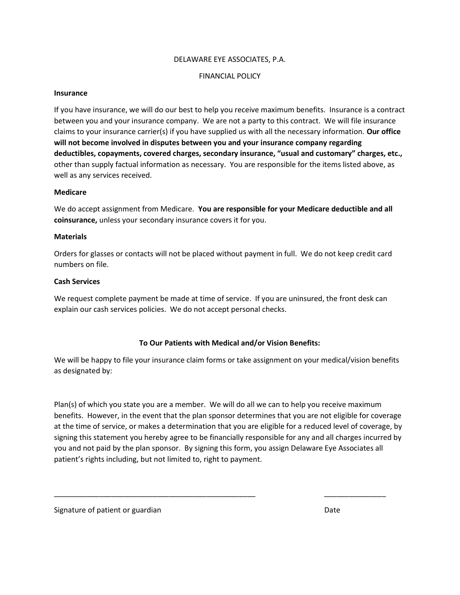#### DELAWARE EYE ASSOCIATES, P.A.

#### FINANCIAL POLICY

#### Insurance

If you have insurance, we will do our best to help you receive maximum benefits. Insurance is a contract between you and your insurance company. We are not a party to this contract. We will file insurance claims to your insurance carrier(s) if you have supplied us with all the necessary information. Our office will not become involved in disputes between you and your insurance company regarding deductibles, copayments, covered charges, secondary insurance, "usual and customary" charges, etc., other than supply factual information as necessary. You are responsible for the items listed above, as well as any services received.

#### Medicare

We do accept assignment from Medicare. You are responsible for your Medicare deductible and all coinsurance, unless your secondary insurance covers it for you.

#### **Materials**

Orders for glasses or contacts will not be placed without payment in full. We do not keep credit card numbers on file.

#### Cash Services

We request complete payment be made at time of service. If you are uninsured, the front desk can explain our cash services policies. We do not accept personal checks.

#### To Our Patients with Medical and/or Vision Benefits:

We will be happy to file your insurance claim forms or take assignment on your medical/vision benefits as designated by:

Plan(s) of which you state you are a member. We will do all we can to help you receive maximum benefits. However, in the event that the plan sponsor determines that you are not eligible for coverage at the time of service, or makes a determination that you are eligible for a reduced level of coverage, by signing this statement you hereby agree to be financially responsible for any and all charges incurred by you and not paid by the plan sponsor. By signing this form, you assign Delaware Eye Associates all patient's rights including, but not limited to, right to payment.

\_\_\_\_\_\_\_\_\_\_\_\_\_\_\_\_\_\_\_\_\_\_\_\_\_\_\_\_\_\_\_\_\_\_\_\_\_\_\_\_\_\_\_\_\_\_\_\_\_ \_\_\_\_\_\_\_\_\_\_\_\_\_\_\_

Signature of patient or guardian Date of the state of patient of graduate of patients of patients of patients of  $\mathbf{D}$